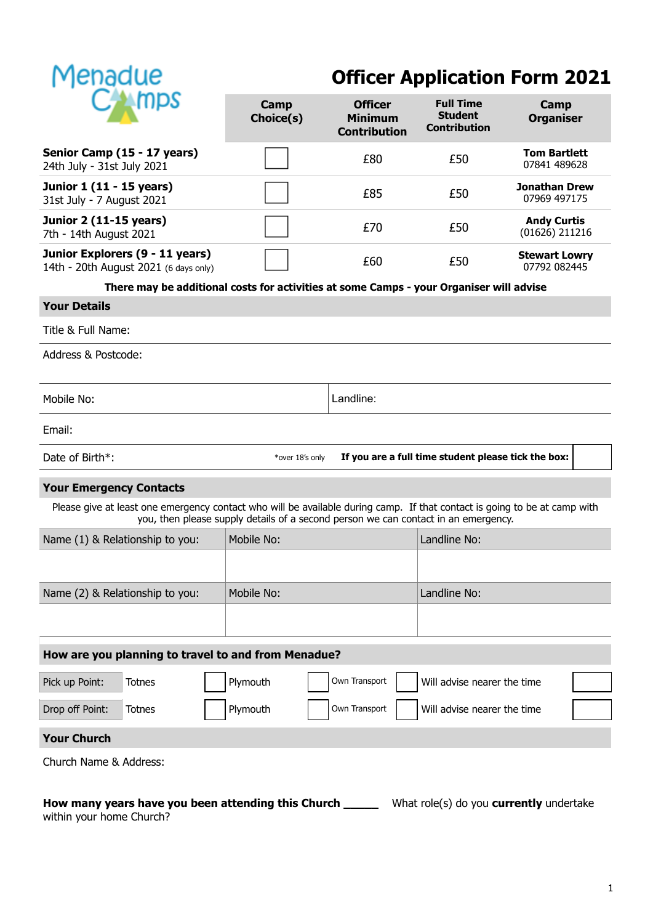

# **Officer Application Form 2021**

|                                                                                                                                                                                                                 |                                                                          | Camp<br>Choice(s)                                                                       | <b>Officer</b><br><b>Minimum</b><br><b>Contribution</b> | <b>Full Time</b><br><b>Student</b><br><b>Contribution</b> | Camp<br><b>Organiser</b>               |
|-----------------------------------------------------------------------------------------------------------------------------------------------------------------------------------------------------------------|--------------------------------------------------------------------------|-----------------------------------------------------------------------------------------|---------------------------------------------------------|-----------------------------------------------------------|----------------------------------------|
| Senior Camp (15 - 17 years)<br>24th July - 31st July 2021                                                                                                                                                       |                                                                          |                                                                                         | £80                                                     | £50                                                       | <b>Tom Bartlett</b><br>07841 489628    |
| Junior 1 (11 - 15 years)<br>31st July - 7 August 2021                                                                                                                                                           |                                                                          |                                                                                         | £85                                                     | £50                                                       | <b>Jonathan Drew</b><br>07969 497175   |
| <b>Junior 2 (11-15 years)</b><br>7th - 14th August 2021                                                                                                                                                         |                                                                          |                                                                                         | £70                                                     | £50                                                       | <b>Andy Curtis</b><br>$(01626)$ 211216 |
|                                                                                                                                                                                                                 | Junior Explorers (9 - 11 years)<br>14th - 20th August 2021 (6 days only) |                                                                                         | £60                                                     | £50                                                       | <b>Stewart Lowry</b><br>07792 082445   |
|                                                                                                                                                                                                                 |                                                                          | There may be additional costs for activities at some Camps - your Organiser will advise |                                                         |                                                           |                                        |
| <b>Your Details</b>                                                                                                                                                                                             |                                                                          |                                                                                         |                                                         |                                                           |                                        |
| Title & Full Name:                                                                                                                                                                                              |                                                                          |                                                                                         |                                                         |                                                           |                                        |
| Address & Postcode:                                                                                                                                                                                             |                                                                          |                                                                                         |                                                         |                                                           |                                        |
| Mobile No:                                                                                                                                                                                                      |                                                                          |                                                                                         | Landline:                                               |                                                           |                                        |
| Email:                                                                                                                                                                                                          |                                                                          |                                                                                         |                                                         |                                                           |                                        |
| Date of Birth*:<br>If you are a full time student please tick the box:<br>*over 18's only                                                                                                                       |                                                                          |                                                                                         |                                                         |                                                           |                                        |
| <b>Your Emergency Contacts</b>                                                                                                                                                                                  |                                                                          |                                                                                         |                                                         |                                                           |                                        |
| Please give at least one emergency contact who will be available during camp. If that contact is going to be at camp with<br>you, then please supply details of a second person we can contact in an emergency. |                                                                          |                                                                                         |                                                         |                                                           |                                        |
| Name (1) & Relationship to you:                                                                                                                                                                                 |                                                                          | Mobile No:                                                                              |                                                         | Landline No:                                              |                                        |
|                                                                                                                                                                                                                 |                                                                          |                                                                                         |                                                         |                                                           |                                        |
| Name (2) & Relationship to you:                                                                                                                                                                                 |                                                                          | Mobile No:                                                                              |                                                         | Landline No:                                              |                                        |
|                                                                                                                                                                                                                 |                                                                          |                                                                                         |                                                         |                                                           |                                        |
| How are you planning to travel to and from Menadue?                                                                                                                                                             |                                                                          |                                                                                         |                                                         |                                                           |                                        |
| Pick up Point:                                                                                                                                                                                                  | <b>Totnes</b>                                                            | Plymouth                                                                                | Own Transport                                           | Will advise nearer the time                               |                                        |
| Drop off Point:                                                                                                                                                                                                 | <b>Totnes</b>                                                            | Plymouth                                                                                | Own Transport                                           | Will advise nearer the time                               |                                        |
| <b>Your Church</b>                                                                                                                                                                                              |                                                                          |                                                                                         |                                                         |                                                           |                                        |
| Church Name & Address:                                                                                                                                                                                          |                                                                          |                                                                                         |                                                         |                                                           |                                        |
| How many years have you been attending this Church<br>What role(s) do you <b>currently</b> undertake                                                                                                            |                                                                          |                                                                                         |                                                         |                                                           |                                        |

within your home Church?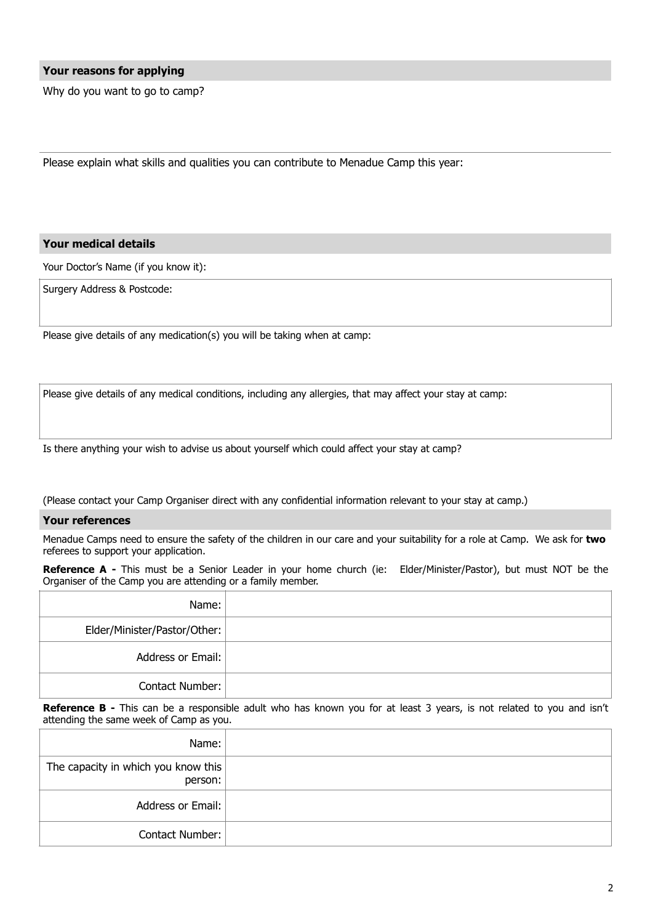# **Your reasons for applying**

Why do you want to go to camp?

Please explain what skills and qualities you can contribute to Menadue Camp this year:

# **Your medical details**

Your Doctor's Name (if you know it):

Surgery Address & Postcode:

Please give details of any medication(s) you will be taking when at camp:

Please give details of any medical conditions, including any allergies, that may affect your stay at camp:

Is there anything your wish to advise us about yourself which could affect your stay at camp?

(Please contact your Camp Organiser direct with any confidential information relevant to your stay at camp.)

# **Your references**

Menadue Camps need to ensure the safety of the children in our care and your suitability for a role at Camp. We ask for **two** referees to support your application.

**Reference A -** This must be a Senior Leader in your home church (ie: Elder/Minister/Pastor), but must NOT be the Organiser of the Camp you are attending or a family member.

| Name:                        |  |
|------------------------------|--|
| Elder/Minister/Pastor/Other: |  |
| Address or Email:            |  |
| <b>Contact Number:</b>       |  |

**Reference B** - This can be a responsible adult who has known you for at least 3 years, is not related to you and isn't attending the same week of Camp as you.

| Name:                                          |  |
|------------------------------------------------|--|
| The capacity in which you know this<br>person: |  |
| Address or Email:                              |  |
| <b>Contact Number:</b>                         |  |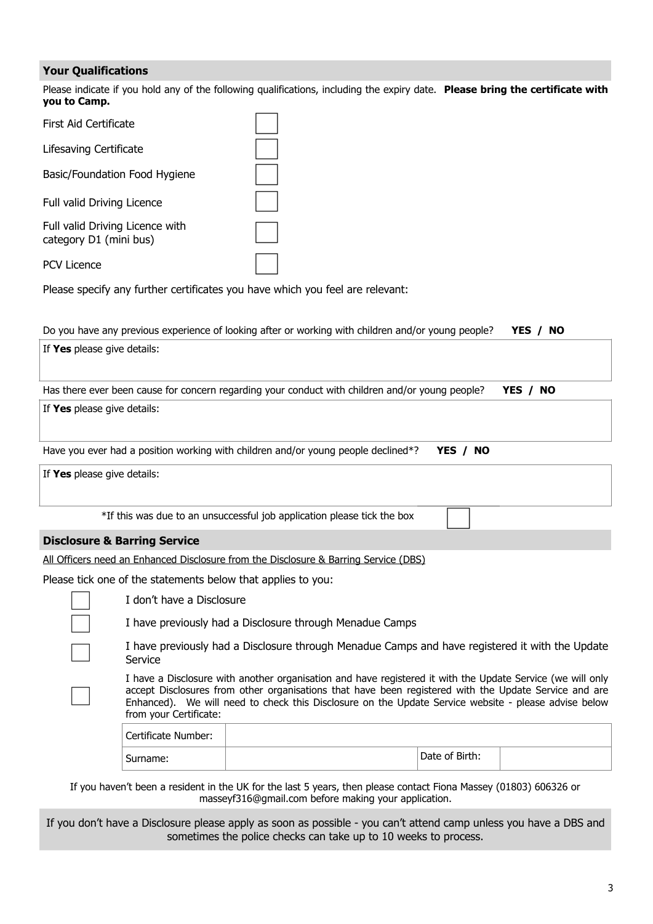# **Your Qualifications**

Please indicate if you hold any of the following qualifications, including the expiry date. **Please bring the certificate with you to Camp.**

| First Aid Certificate                                     |  |
|-----------------------------------------------------------|--|
| Lifesaving Certificate                                    |  |
| Basic/Foundation Food Hygiene                             |  |
| <b>Full valid Driving Licence</b>                         |  |
| Full valid Driving Licence with<br>category D1 (mini bus) |  |
| PCV Licence                                               |  |

Please specify any further certificates you have which you feel are relevant:

|                             |                                                                                                                                                                                                                                                                                                                                                       | Do you have any previous experience of looking after or working with children and/or young people? |                | YES /<br><b>NO</b> |
|-----------------------------|-------------------------------------------------------------------------------------------------------------------------------------------------------------------------------------------------------------------------------------------------------------------------------------------------------------------------------------------------------|----------------------------------------------------------------------------------------------------|----------------|--------------------|
| If Yes please give details: |                                                                                                                                                                                                                                                                                                                                                       |                                                                                                    |                |                    |
|                             |                                                                                                                                                                                                                                                                                                                                                       | Has there ever been cause for concern regarding your conduct with children and/or young people?    |                | YES / NO           |
| If Yes please give details: |                                                                                                                                                                                                                                                                                                                                                       |                                                                                                    |                |                    |
|                             |                                                                                                                                                                                                                                                                                                                                                       | Have you ever had a position working with children and/or young people declined*?                  | YES / NO       |                    |
| If Yes please give details: |                                                                                                                                                                                                                                                                                                                                                       |                                                                                                    |                |                    |
|                             |                                                                                                                                                                                                                                                                                                                                                       | *If this was due to an unsuccessful job application please tick the box                            |                |                    |
|                             | <b>Disclosure &amp; Barring Service</b>                                                                                                                                                                                                                                                                                                               |                                                                                                    |                |                    |
|                             |                                                                                                                                                                                                                                                                                                                                                       | All Officers need an Enhanced Disclosure from the Disclosure & Barring Service (DBS)               |                |                    |
|                             |                                                                                                                                                                                                                                                                                                                                                       | Please tick one of the statements below that applies to you:                                       |                |                    |
|                             | I don't have a Disclosure                                                                                                                                                                                                                                                                                                                             |                                                                                                    |                |                    |
|                             |                                                                                                                                                                                                                                                                                                                                                       | I have previously had a Disclosure through Menadue Camps                                           |                |                    |
|                             | I have previously had a Disclosure through Menadue Camps and have registered it with the Update<br>Service                                                                                                                                                                                                                                            |                                                                                                    |                |                    |
|                             | I have a Disclosure with another organisation and have registered it with the Update Service (we will only<br>accept Disclosures from other organisations that have been registered with the Update Service and are<br>Enhanced). We will need to check this Disclosure on the Update Service website - please advise below<br>from your Certificate: |                                                                                                    |                |                    |
|                             | <b>Certificate Number:</b>                                                                                                                                                                                                                                                                                                                            |                                                                                                    |                |                    |
|                             | Surname:                                                                                                                                                                                                                                                                                                                                              |                                                                                                    | Date of Birth: |                    |
|                             |                                                                                                                                                                                                                                                                                                                                                       |                                                                                                    |                |                    |

If you haven't been a resident in the UK for the last 5 years, then please contact Fiona Massey (01803) 606326 or [masseyf316@gmail.com](mailto:masseyf316@gmail.com) before making your application.

If you don't have a Disclosure please apply as soon as possible - you can't attend camp unless you have a DBS and sometimes the police checks can take up to 10 weeks to process.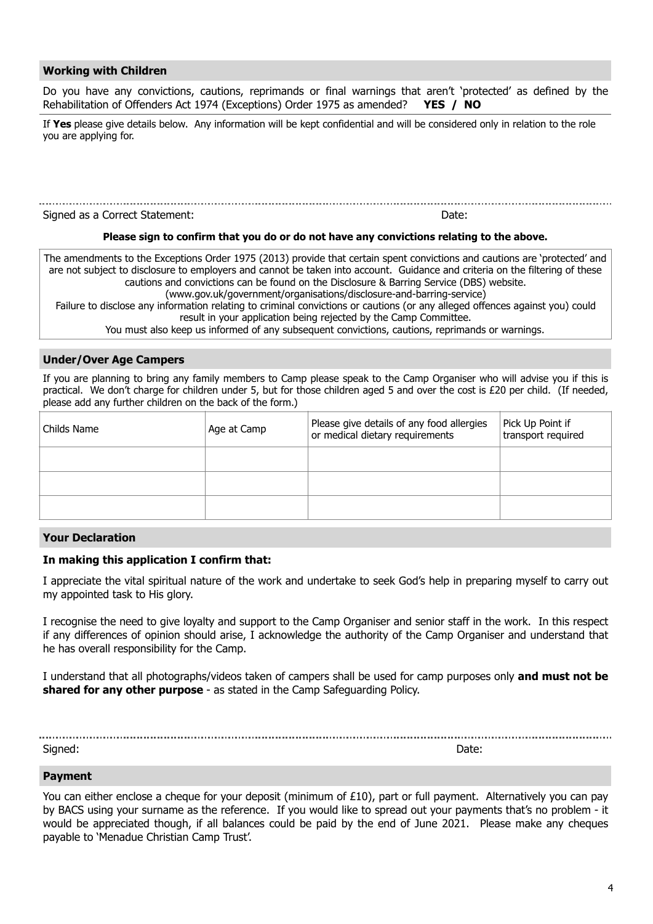# **Working with Children**

Do you have any convictions, cautions, reprimands or final warnings that aren't 'protected' as defined by the Rehabilitation of Offenders Act 1974 (Exceptions) Order 1975 as amended? **YES / NO**

If **Yes** please give details below. Any information will be kept confidential and will be considered only in relation to the role you are applying for.

# 

Signed as a Correct Statement: Date:

#### **Please sign to confirm that you do or do not have any convictions relating to the above.**

The amendments to the Exceptions Order 1975 (2013) provide that certain spent convictions and cautions are 'protected' and are not subject to disclosure to employers and cannot be taken into account. Guidance and criteria on the filtering of these cautions and convictions can be found on the Disclosure & Barring Service (DBS) website. [\(www.gov.uk/government/organisations/disclosure-and-barring-service](https://www.gov.uk/government/organisations/disclosure-and-barring-service))

Failure to disclose any information relating to criminal convictions or cautions (or any alleged offences against you) could result in your application being rejected by the Camp Committee.

You must also keep us informed of any subsequent convictions, cautions, reprimands or warnings.

# **Under/Over Age Campers**

If you are planning to bring any family members to Camp please speak to the Camp Organiser who will advise you if this is practical. We don't charge for children under 5, but for those children aged 5 and over the cost is £20 per child. (If needed, please add any further children on the back of the form.)

| Childs Name | Age at Camp | Please give details of any food allergies<br>or medical dietary requirements | Pick Up Point if<br>transport required |
|-------------|-------------|------------------------------------------------------------------------------|----------------------------------------|
|             |             |                                                                              |                                        |
|             |             |                                                                              |                                        |
|             |             |                                                                              |                                        |

#### **Your Declaration**

# **In making this application I confirm that:**

I appreciate the vital spiritual nature of the work and undertake to seek God's help in preparing myself to carry out my appointed task to His glory.

I recognise the need to give loyalty and support to the Camp Organiser and senior staff in the work. In this respect if any differences of opinion should arise, I acknowledge the authority of the Camp Organiser and understand that he has overall responsibility for the Camp.

I understand that all photographs/videos taken of campers shall be used for camp purposes only **and must not be shared for any other purpose** - as stated in the Camp Safeguarding Policy.

Signed: Date:

# **Payment**

You can either enclose a cheque for your deposit (minimum of £10), part or full payment. Alternatively you can pay by BACS using your surname as the reference. If you would like to spread out your payments that's no problem - it would be appreciated though, if all balances could be paid by the end of June 2021. Please make any cheques payable to 'Menadue Christian Camp Trust'.